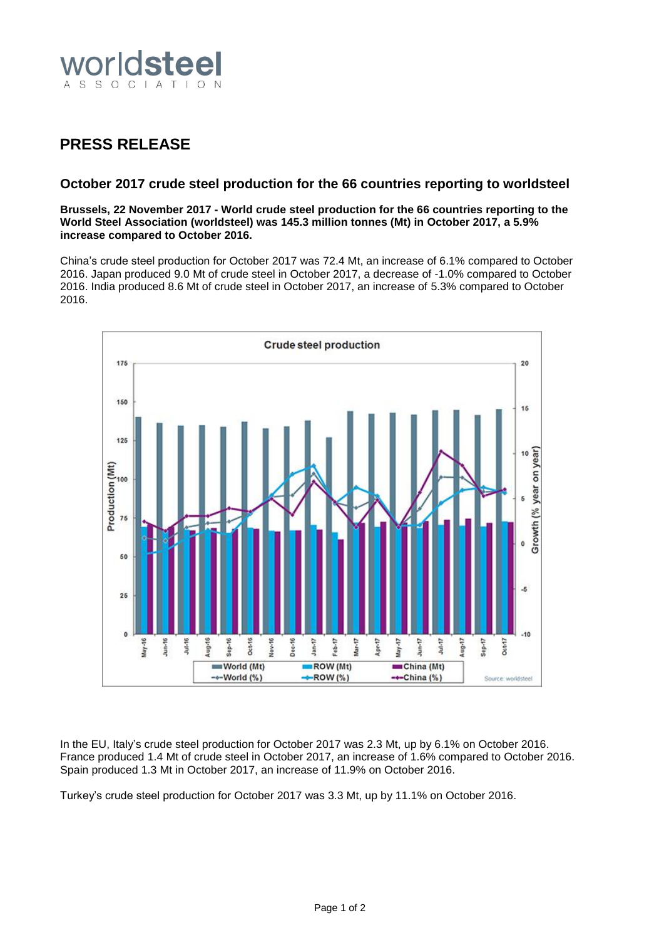

## **PRESS RELEASE**

## **October 2017 crude steel production for the 66 countries reporting to worldsteel**

**Brussels, 22 November 2017 - World crude steel production for the 66 countries reporting to the World Steel Association (worldsteel) was 145.3 million tonnes (Mt) in October 2017, a 5.9% increase compared to October 2016.**

China's crude steel production for October 2017 was 72.4 Mt, an increase of 6.1% compared to October 2016. Japan produced 9.0 Mt of crude steel in October 2017, a decrease of -1.0% compared to October 2016. India produced 8.6 Mt of crude steel in October 2017, an increase of 5.3% compared to October 2016.



In the EU, Italy's crude steel production for October 2017 was 2.3 Mt, up by 6.1% on October 2016. France produced 1.4 Mt of crude steel in October 2017, an increase of 1.6% compared to October 2016. Spain produced 1.3 Mt in October 2017, an increase of 11.9% on October 2016.

Turkey's crude steel production for October 2017 was 3.3 Mt, up by 11.1% on October 2016.